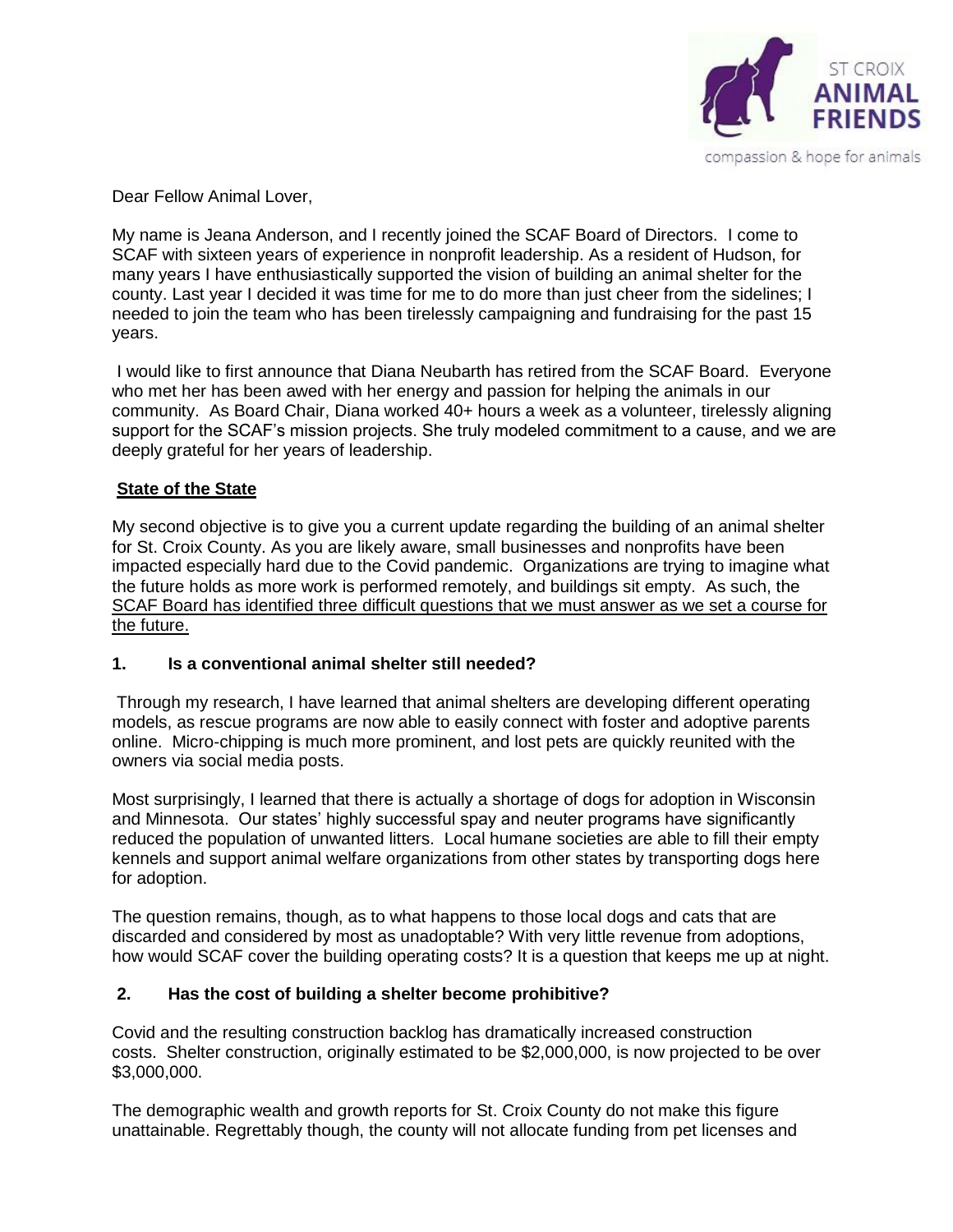

Dear Fellow Animal Lover,

My name is Jeana Anderson, and I recently joined the SCAF Board of Directors. I come to SCAF with sixteen years of experience in nonprofit leadership. As a resident of Hudson, for many years I have enthusiastically supported the vision of building an animal shelter for the county. Last year I decided it was time for me to do more than just cheer from the sidelines; I needed to join the team who has been tirelessly campaigning and fundraising for the past 15 years.

I would like to first announce that Diana Neubarth has retired from the SCAF Board. Everyone who met her has been awed with her energy and passion for helping the animals in our community. As Board Chair, Diana worked 40+ hours a week as a volunteer, tirelessly aligning support for the SCAF's mission projects. She truly modeled commitment to a cause, and we are deeply grateful for her years of leadership.

# **State of the State**

My second objective is to give you a current update regarding the building of an animal shelter for St. Croix County. As you are likely aware, small businesses and nonprofits have been impacted especially hard due to the Covid pandemic. Organizations are trying to imagine what the future holds as more work is performed remotely, and buildings sit empty. As such, the SCAF Board has identified three difficult questions that we must answer as we set a course for the future.

### **1. Is a conventional animal shelter still needed?**

Through my research, I have learned that animal shelters are developing different operating models, as rescue programs are now able to easily connect with foster and adoptive parents online. Micro-chipping is much more prominent, and lost pets are quickly reunited with the owners via social media posts.

Most surprisingly, I learned that there is actually a shortage of dogs for adoption in Wisconsin and Minnesota. Our states' highly successful spay and neuter programs have significantly reduced the population of unwanted litters. Local humane societies are able to fill their empty kennels and support animal welfare organizations from other states by transporting dogs here for adoption.

The question remains, though, as to what happens to those local dogs and cats that are discarded and considered by most as unadoptable? With very little revenue from adoptions, how would SCAF cover the building operating costs? It is a question that keeps me up at night.

### **2. Has the cost of building a shelter become prohibitive?**

Covid and the resulting construction backlog has dramatically increased construction costs. Shelter construction, originally estimated to be \$2,000,000, is now projected to be over \$3,000,000.

The demographic wealth and growth reports for St. Croix County do not make this figure unattainable. Regrettably though, the county will not allocate funding from pet licenses and